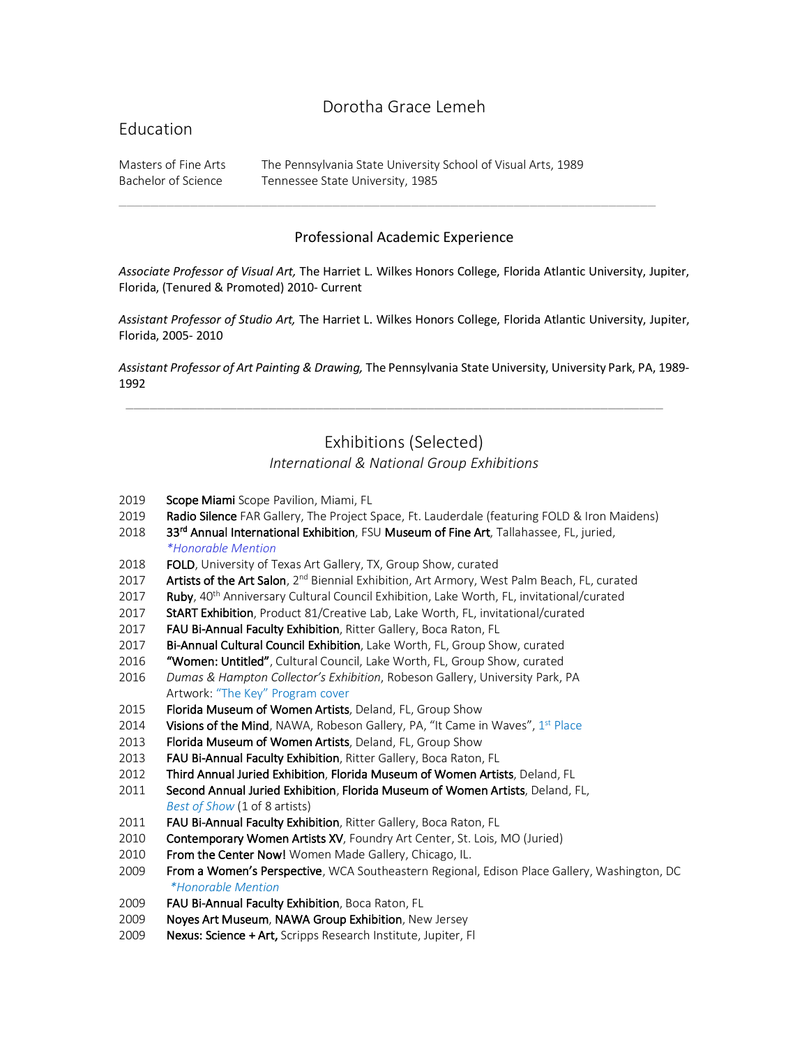# Dorotha Grace Lemeh

## Education

Masters of Fine Arts The Pennsylvania State University School of Visual Arts, 1989 Bachelor of Science Tennessee State University, 1985

#### Professional Academic Experience

 $\_$  , and the set of the set of the set of the set of the set of the set of the set of the set of the set of the set of the set of the set of the set of the set of the set of the set of the set of the set of the set of th

*Associate Professor of Visual Art,* The Harriet L. Wilkes Honors College, Florida Atlantic University, Jupiter, Florida, (Tenured & Promoted) 2010- Current

*Assistant Professor of Studio Art,* The Harriet L. Wilkes Honors College, Florida Atlantic University, Jupiter, Florida, 2005- 2010

*Assistant Professor of Art Painting & Drawing,* The Pennsylvania State University, University Park, PA, 1989- 1992

\_\_\_\_\_\_\_\_\_\_\_\_\_\_\_\_\_\_\_\_\_\_\_\_\_\_\_\_\_\_\_\_\_\_\_\_\_\_\_\_\_\_\_\_\_\_\_\_\_\_\_\_\_\_\_\_\_\_\_\_\_\_\_\_\_\_\_\_

# Exhibitions (Selected)

#### *International & National Group Exhibitions*

- 2019 Scope Miami Scope Pavilion, Miami, FL
- 2019 Radio Silence FAR Gallery, The Project Space, Ft. Lauderdale (featuring FOLD & Iron Maidens)
- 2018 33<sup>rd</sup> Annual International Exhibition, FSU Museum of Fine Art, Tallahassee, FL, juried, *\*Honorable Mention*
- 2018 FOLD, University of Texas Art Gallery, TX, Group Show, curated
- 2017 Artists of the Art Salon, 2<sup>nd</sup> Biennial Exhibition, Art Armory, West Palm Beach, FL, curated
- 2017 Ruby, 40<sup>th</sup> Anniversary Cultural Council Exhibition, Lake Worth, FL, invitational/curated
- 2017 StART Exhibition, Product 81/Creative Lab, Lake Worth, FL, invitational/curated
- 2017 FAU Bi-Annual Faculty Exhibition, Ritter Gallery, Boca Raton, FL
- 2017 Bi-Annual Cultural Council Exhibition, Lake Worth, FL, Group Show, curated
- 2016 "Women: Untitled", Cultural Council, Lake Worth, FL, Group Show, curated
- 2016 *Dumas & Hampton Collector's Exhibition*, Robeson Gallery, University Park, PA Artwork: "The Key" Program cover
- 2015 Florida Museum of Women Artists, Deland, FL, Group Show
- 2014 Visions of the Mind, NAWA, Robeson Gallery, PA, "It Came in Waves",  $1^{st}$  Place
- 2013 Florida Museum of Women Artists, Deland, FL, Group Show
- 2013 FAU Bi-Annual Faculty Exhibition, Ritter Gallery, Boca Raton, FL
- 2012 Third Annual Juried Exhibition, Florida Museum of Women Artists, Deland, FL
- 2011 Second Annual Juried Exhibition, Florida Museum of Women Artists, Deland, FL, *Best of Show* (1 of 8 artists)
- 2011 FAU Bi-Annual Faculty Exhibition, Ritter Gallery, Boca Raton, FL
- 2010 Contemporary Women Artists XV, Foundry Art Center, St. Lois, MO (Juried)
- 2010 From the Center Now! Women Made Gallery, Chicago, IL.
- 2009 From a Women's Perspective, WCA Southeastern Regional, Edison Place Gallery, Washington, DC *\*Honorable Mention*
- 2009 FAU Bi-Annual Faculty Exhibition, Boca Raton, FL
- 2009 Noyes Art Museum, NAWA Group Exhibition, New Jersey
- 2009 Nexus: Science + Art, Scripps Research Institute, Jupiter, Fl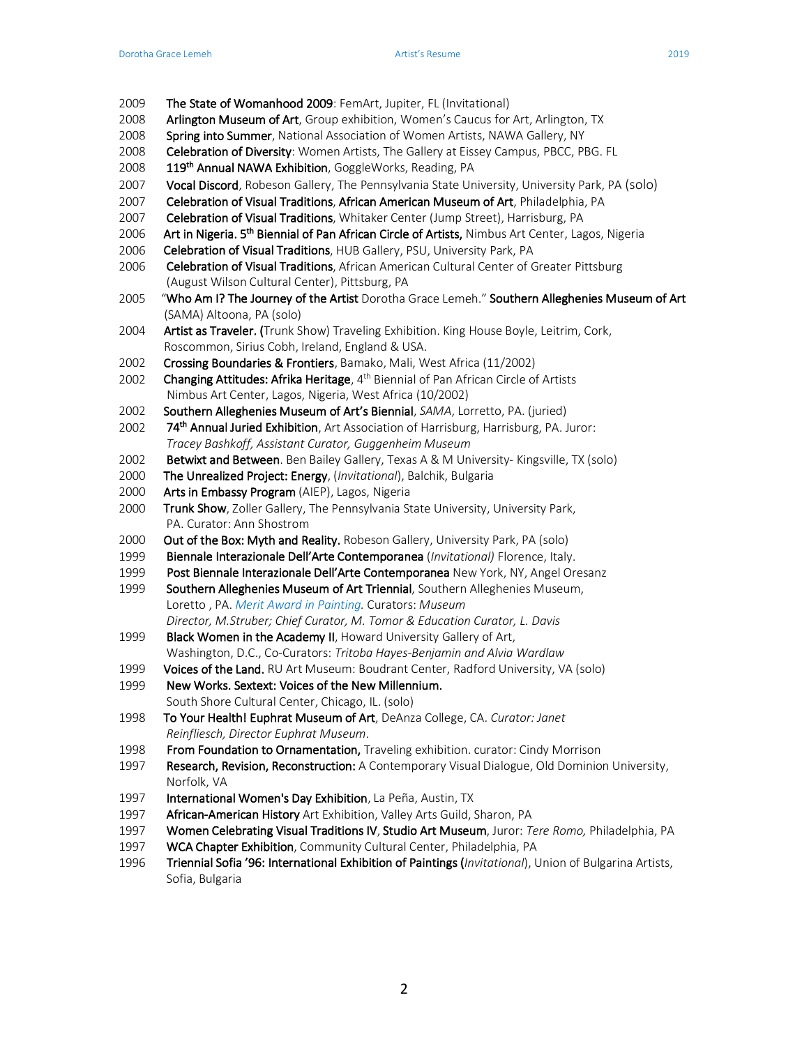- 2009 The State of Womanhood 2009: FemArt, Jupiter, FL (Invitational)
- 2008 Arlington Museum of Art, Group exhibition, Women's Caucus for Art, Arlington, TX
- 2008 Spring into Summer, National Association of Women Artists, NAWA Gallery, NY
- 2008 Celebration of Diversity: Women Artists, The Gallery at Eissey Campus, PBCC, PBG. FL
- 2008 119<sup>th</sup> Annual NAWA Exhibition, GoggleWorks, Reading, PA
- 2007 Vocal Discord, Robeson Gallery, The Pennsylvania State University, University Park, PA (solo)
- 2007 Celebration of Visual Traditions, African American Museum of Art, Philadelphia, PA
- 2007 Celebration of Visual Traditions, Whitaker Center (Jump Street), Harrisburg, PA
- 2006 Art in Nigeria. 5<sup>th</sup> Biennial of Pan African Circle of Artists, Nimbus Art Center, Lagos, Nigeria
- 2006 Celebration of Visual Traditions, HUB Gallery, PSU, University Park, PA
- 2006 Celebration of Visual Traditions, African American Cultural Center of Greater Pittsburg (August Wilson Cultural Center), Pittsburg, PA
- 2005 "Who Am I? The Journey of the Artist Dorotha Grace Lemeh." Southern Alleghenies Museum of Art (SAMA) Altoona, PA (solo)
- 2004 **Artist as Traveler.** (Trunk Show) Traveling Exhibition. King House Boyle, Leitrim, Cork, Roscommon, Sirius Cobh, Ireland, England & USA.
- 2002 Crossing Boundaries & Frontiers, Bamako, Mali, West Africa (11/2002)
- 2002 Changing Attitudes: Afrika Heritage, 4<sup>th</sup> Biennial of Pan African Circle of Artists Nimbus Art Center, Lagos, Nigeria, West Africa (10/2002)
- 2002 Southern Alleghenies Museum of Art's Biennial, *SAMA*, Lorretto, PA. (juried)
- 2002 74<sup>th</sup> Annual Juried Exhibition, Art Association of Harrisburg, Harrisburg, PA. Juror: *Tracey Bashkoff, Assistant Curator, Guggenheim Museum*
- 2002 Betwixt and Between. Ben Bailey Gallery, Texas A & M University- Kingsville, TX (solo)
- 2000 The Unrealized Project: Energy, (*Invitational*), Balchik, Bulgaria
- 2000 Arts in Embassy Program (AIEP), Lagos, Nigeria
- 2000 Trunk Show, Zoller Gallery, The Pennsylvania State University, University Park, PA. Curator: Ann Shostrom
- 2000 Out of the Box: Myth and Reality. Robeson Gallery, University Park, PA (solo)
- 1999 Biennale Interazionale Dell'Arte Contemporanea (*Invitational)* Florence, Italy.
- 1999 Post Biennale Interazionale Dell'Arte Contemporanea New York, NY, Angel Oresanz
- 1999 Southern Alleghenies Museum of Art Triennial, Southern Alleghenies Museum, Loretto , PA. *Merit Award in Painting.* Curators: *Museum Director, M.Struber; Chief Curator, M. Tomor & Education Curator, L. Davis*
- 1999 Black Women in the Academy II, Howard University Gallery of Art, Washington, D.C., Co-Curators: *Tritoba Hayes-Benjamin and Alvia Wardlaw*
- 1999 Voices of the Land. RU Art Museum: Boudrant Center, Radford University, VA (solo)
- 1999 New Works. Sextext: Voices of the New Millennium. South Shore Cultural Center, Chicago, IL. (solo)
- 1998 To Your Health! Euphrat Museum of Art, DeAnza College, CA. *Curator: Janet Reinfliesch, Director Euphrat Museum*.
- 1998 From Foundation to Ornamentation, Traveling exhibition. curator: Cindy Morrison
- 1997 Research, Revision, Reconstruction: A Contemporary Visual Dialogue, Old Dominion University, Norfolk, VA
- 1997 International Women's Day Exhibition, La Peña, Austin, TX
- 1997 African-American History Art Exhibition, Valley Arts Guild, Sharon, PA
- 1997 Women Celebrating Visual Traditions IV, Studio Art Museum, Juror: *Tere Romo,* Philadelphia, PA
- 1997 WCA Chapter Exhibition, Community Cultural Center, Philadelphia, PA
- 1996 Triennial Sofia '96: International Exhibition of Paintings (*Invitational*), Union of Bulgarina Artists, Sofia, Bulgaria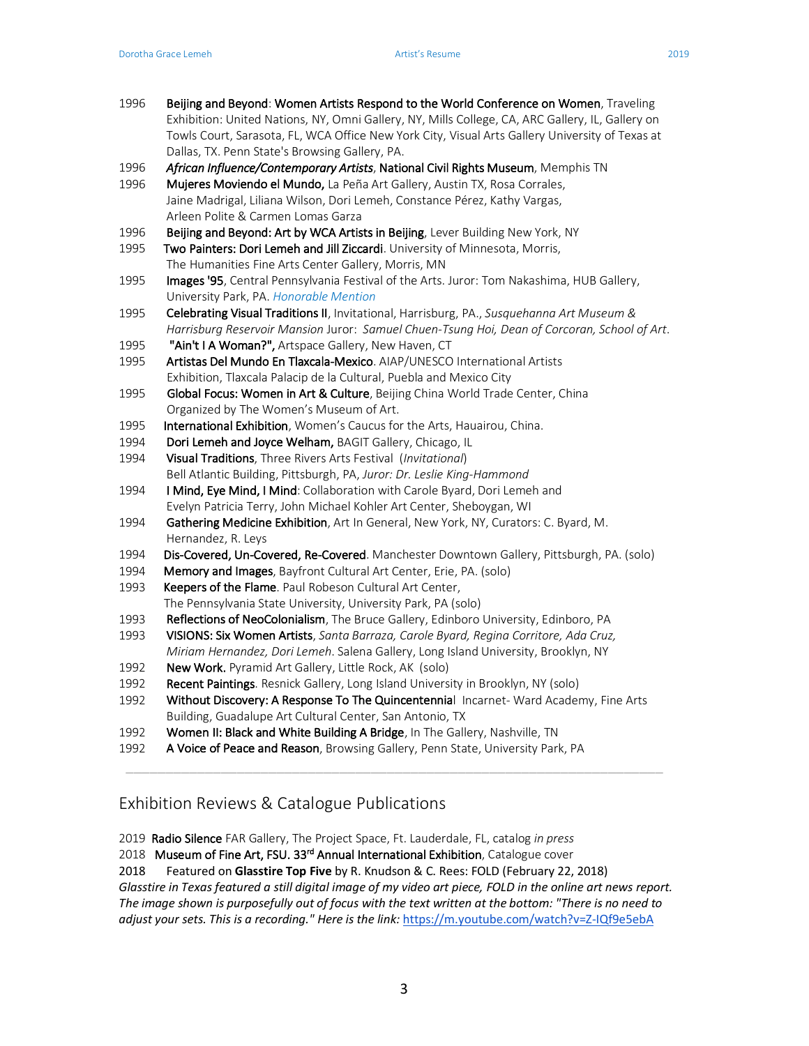- 1996 Beijing and Beyond: Women Artists Respond to the World Conference on Women, Traveling Exhibition: United Nations, NY, Omni Gallery, NY, Mills College, CA, ARC Gallery, IL, Gallery on Towls Court, Sarasota, FL, WCA Office New York City, Visual Arts Gallery University of Texas at Dallas, TX. Penn State's Browsing Gallery, PA.
- 1996 *African Influence/Contemporary Artists*, National Civil Rights Museum, Memphis TN
- 1996 Mujeres Moviendo el Mundo, La Peña Art Gallery, Austin TX, Rosa Corrales, Jaine Madrigal, Liliana Wilson, Dori Lemeh, Constance Pérez, Kathy Vargas, Arleen Polite & Carmen Lomas Garza
- 1996 Beijing and Beyond: Art by WCA Artists in Beijing, Lever Building New York, NY
- 1995 Two Painters: Dori Lemeh and Jill Ziccardi. University of Minnesota, Morris, The Humanities Fine Arts Center Gallery, Morris, MN
- 1995 Images '95, Central Pennsylvania Festival of the Arts. Juror: Tom Nakashima, HUB Gallery, University Park, PA. *Honorable Mention*
- 1995Celebrating Visual Traditions II, Invitational, Harrisburg, PA., *Susquehanna Art Museum & Harrisburg Reservoir Mansion* Juror: *Samuel Chuen-Tsung Hoi, Dean of Corcoran, School of Art*.
- 1995 "Ain't I A Woman?", Artspace Gallery, New Haven, CT
- 1995 Artistas Del Mundo En Tlaxcala-Mexico. AIAP/UNESCO International Artists Exhibition, Tlaxcala Palacip de la Cultural, Puebla and Mexico City
- 1995 Global Focus: Women in Art & Culture, Beijing China World Trade Center, China Organized by The Women's Museum of Art.
- 1995 International Exhibition, Women's Caucus for the Arts, Hauairou, China.
- 1994 Dori Lemeh and Joyce Welham, BAGIT Gallery, Chicago, IL
- 1994 Visual Traditions, Three Rivers Arts Festival (*Invitational*) Bell Atlantic Building, Pittsburgh, PA, *Juror: Dr. Leslie King-Hammond*
- 1994 I Mind, Eye Mind, I Mind: Collaboration with Carole Byard, Dori Lemeh and Evelyn Patricia Terry, John Michael Kohler Art Center, Sheboygan, WI
- 1994 Gathering Medicine Exhibition, Art In General, New York, NY, Curators: C. Byard, M. Hernandez, R. Leys
- 1994 Dis-Covered, Un-Covered, Re-Covered. Manchester Downtown Gallery, Pittsburgh, PA. (solo)
- 1994 Memory and Images, Bayfront Cultural Art Center, Erie, PA. (solo)
- 1993 Keepers of the Flame. Paul Robeson Cultural Art Center, The Pennsylvania State University, University Park, PA (solo)
- 1993 Reflections of NeoColonialism, The Bruce Gallery, Edinboro University, Edinboro, PA
- 1993 VISIONS: Six Women Artists, *Santa Barraza, Carole Byard, Regina Corritore, Ada Cruz, Miriam Hernandez, Dori Lemeh*. Salena Gallery, Long Island University, Brooklyn, NY
- 1992 New Work. Pyramid Art Gallery, Little Rock, AK (solo)
- 1992 Recent Paintings. Resnick Gallery, Long Island University in Brooklyn, NY (solo)
- 1992 Without Discovery: A Response To The Quincentennial Incarnet- Ward Academy, Fine Arts Building, Guadalupe Art Cultural Center, San Antonio, TX

\_\_\_\_\_\_\_\_\_\_\_\_\_\_\_\_\_\_\_\_\_\_\_\_\_\_\_\_\_\_\_\_\_\_\_\_\_\_\_\_\_\_\_\_\_\_\_\_\_\_\_\_\_\_\_\_\_\_\_\_\_\_\_\_\_\_\_\_

- 1992 Women II: Black and White Building A Bridge, In The Gallery, Nashville, TN
- 1992 A Voice of Peace and Reason, Browsing Gallery, Penn State, University Park, PA

### Exhibition Reviews & Catalogue Publications

2019 Radio Silence FAR Gallery, The Project Space, Ft. Lauderdale, FL, catalog *in press*

2018 Museum of Fine Art, FSU. 33<sup>rd</sup> Annual International Exhibition, Catalogue cover

2018 Featured on **Glasstire Top Five** by R. Knudson & C. Rees: FOLD (February 22, 2018)

*Glasstire in Texas featured a still digital image of my video art piece, FOLD in the online art news report. The image shown is purposefully out of focus with the text written at the bottom: "There is no need to adjust your sets. This is a recording." Here is the link:* https://m.youtube.com/watch?v=Z-IQf9e5ebA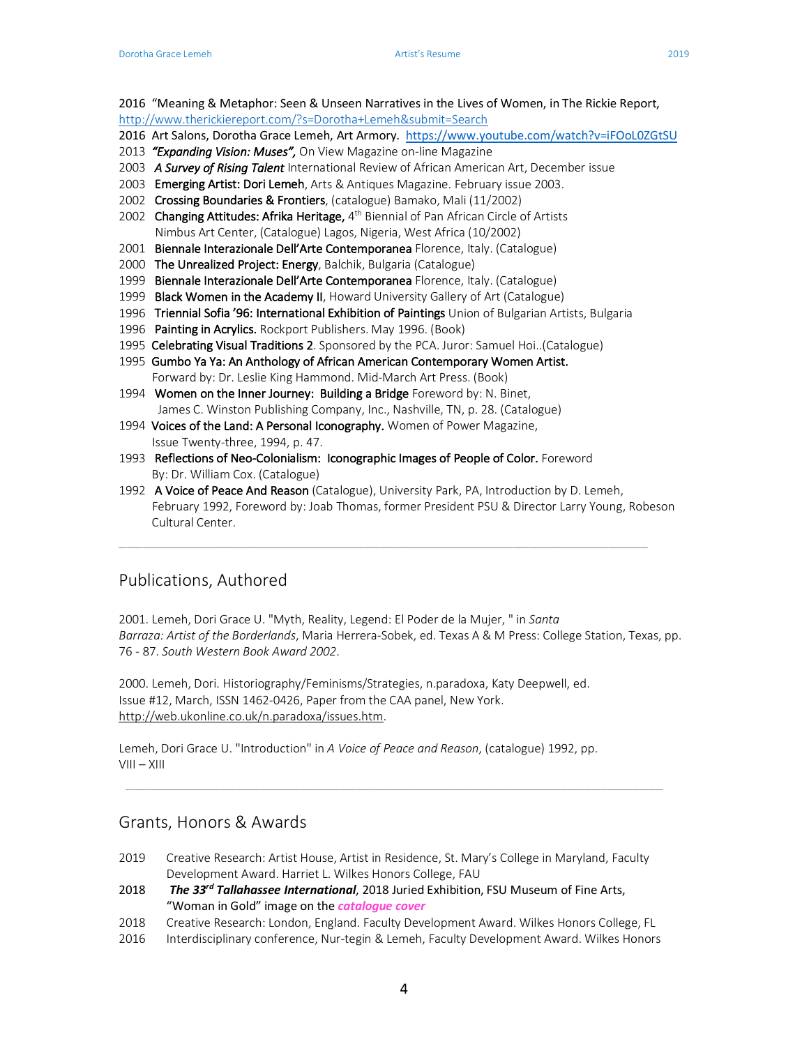2016 "Meaning & Metaphor: Seen & Unseen Narratives in the Lives of Women, in The Rickie Report,

- http://www.therickiereport.com/?s=Dorotha+Lemeh&submit=Search
- 2016 Art Salons, Dorotha Grace Lemeh, Art Armory. https://www.youtube.com/watch?v=iFOoL0ZGtSU
- 2013 *"Expanding Vision: Muses",* On View Magazine on-line Magazine
- 2003 *A Survey of Rising Talent* International Review of African American Art, December issue
- 2003 Emerging Artist: Dori Lemeh, Arts & Antiques Magazine. February issue 2003.
- 2002 Crossing Boundaries & Frontiers, (catalogue) Bamako, Mali (11/2002)
- 2002 Changing Attitudes: Afrika Heritage, 4<sup>th</sup> Biennial of Pan African Circle of Artists Nimbus Art Center, (Catalogue) Lagos, Nigeria, West Africa (10/2002)
- 2001 Biennale Interazionale Dell'Arte Contemporanea Florence, Italy. (Catalogue)
- 2000 The Unrealized Project: Energy, Balchik, Bulgaria (Catalogue)
- 1999 Biennale Interazionale Dell'Arte Contemporanea Florence, Italy. (Catalogue)
- 1999 Black Women in the Academy II, Howard University Gallery of Art (Catalogue)
- 1996 Triennial Sofia '96: International Exhibition of Paintings Union of Bulgarian Artists, Bulgaria
- 1996 Painting in Acrylics. Rockport Publishers. May 1996. (Book)
- 1995 Celebrating Visual Traditions 2. Sponsored by the PCA. Juror: Samuel Hoi..(Catalogue)
- 1995 Gumbo Ya Ya: An Anthology of African American Contemporary Women Artist. Forward by: Dr. Leslie King Hammond. Mid-March Art Press. (Book)
- 1994 Women on the Inner Journey: Building a Bridge Foreword by: N. Binet, James C. Winston Publishing Company, Inc., Nashville, TN, p. 28. (Catalogue)
- 1994 Voices of the Land: A Personal Iconography. Women of Power Magazine, Issue Twenty-three, 1994, p. 47.
- 1993 Reflections of Neo-Colonialism: Iconographic Images of People of Color. Foreword By: Dr. William Cox. (Catalogue)
- 1992 A Voice of Peace And Reason (Catalogue), University Park, PA, Introduction by D. Lemeh, February 1992, Foreword by: Joab Thomas, former President PSU & Director Larry Young, Robeson Cultural Center.

\_\_\_\_\_\_\_\_\_\_\_\_\_\_\_\_\_\_\_\_\_\_\_\_\_\_\_\_\_\_\_\_\_\_\_\_\_\_\_\_\_\_\_\_\_\_\_\_\_\_\_\_\_\_\_\_\_\_\_\_\_\_\_\_\_\_\_

### Publications, Authored

2001. Lemeh, Dori Grace U. "Myth, Reality, Legend: El Poder de la Mujer, " in *Santa Barraza: Artist of the Borderlands*, Maria Herrera-Sobek, ed. Texas A & M Press: College Station, Texas, pp. 76 - 87. *South Western Book Award 2002*.

2000. Lemeh, Dori. Historiography/Feminisms/Strategies, n.paradoxa, Katy Deepwell, ed. Issue #12, March, ISSN 1462-0426, Paper from the CAA panel, New York. http://web.ukonline.co.uk/n.paradoxa/issues.htm.

Lemeh, Dori Grace U. "Introduction" in *A Voice of Peace and Reason*, (catalogue) 1992, pp. VIII – XIII

### Grants, Honors & Awards

2019 Creative Research: Artist House, Artist in Residence, St. Mary's College in Maryland, Faculty Development Award. Harriet L. Wilkes Honors College, FAU

\_\_\_\_\_\_\_\_\_\_\_\_\_\_\_\_\_\_\_\_\_\_\_\_\_\_\_\_\_\_\_\_\_\_\_\_\_\_\_\_\_\_\_\_\_\_\_\_\_\_\_\_\_\_\_\_\_\_\_\_\_\_\_\_\_\_\_\_

- 2018 *The 33rd Tallahassee International*, 2018 Juried Exhibition, FSU Museum of Fine Arts, "Woman in Gold" image on the *catalogue cover*
- 2018 Creative Research: London, England. Faculty Development Award. Wilkes Honors College, FL
- 2016 Interdisciplinary conference, Nur-tegin & Lemeh, Faculty Development Award. Wilkes Honors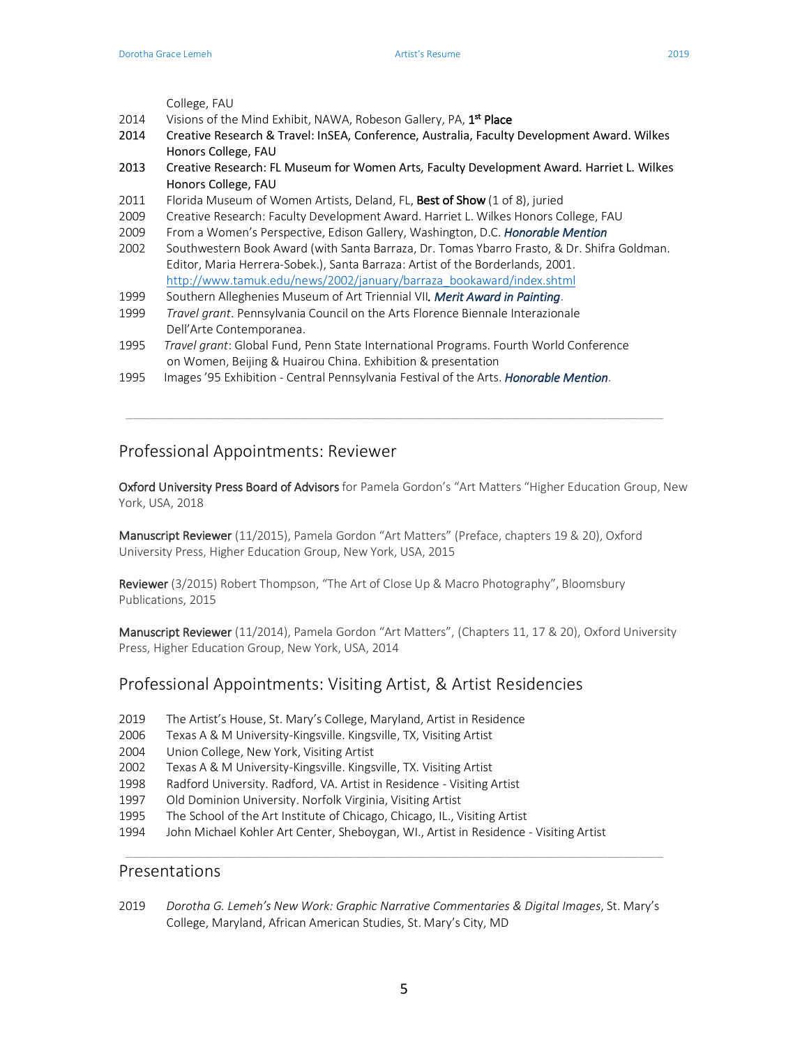College, FAU

- 2014 Visions of the Mind Exhibit, NAWA, Robeson Gallery, PA, 1<sup>st</sup> Place
- 2014 Creative Research & Travel: InSEA, Conference, Australia, Faculty Development Award. Wilkes Honors College, FAU
- 2013 Creative Research: FL Museum for Women Arts, Faculty Development Award. Harriet L. Wilkes Honors College, FAU
- 2011 Florida Museum of Women Artists, Deland, FL, Best of Show (1 of 8), juried
- 2009 Creative Research: Faculty Development Award. Harriet L. Wilkes Honors College, FAU
- 2009 From a Women's Perspective, Edison Gallery, Washington, D.C. *Honorable Mention*
- 2002 Southwestern Book Award (with Santa Barraza, Dr. Tomas Ybarro Frasto, & Dr. Shifra Goldman. Editor, Maria Herrera-Sobek.), Santa Barraza: Artist of the Borderlands, 2001. http://www.tamuk.edu/news/2002/january/barraza\_bookaward/index.shtml
- 1999 Southern Alleghenies Museum of Art Triennial VII*. Merit Award in Painting*.
- 1999 *Travel grant*. Pennsylvania Council on the Arts Florence Biennale Interazionale Dell'Arte Contemporanea.
- 1995 *Travel grant*: Global Fund, Penn State International Programs. Fourth World Conference on Women, Beijing & Huairou China. Exhibition & presentation

\_\_\_\_\_\_\_\_\_\_\_\_\_\_\_\_\_\_\_\_\_\_\_\_\_\_\_\_\_\_\_\_\_\_\_\_\_\_\_\_\_\_\_\_\_\_\_\_\_\_\_\_\_\_\_\_\_\_\_\_\_\_\_\_\_\_\_\_

1995 Images '95 Exhibition - Central Pennsylvania Festival of the Arts. *Honorable Mention*.

#### Professional Appointments: Reviewer

Oxford University Press Board of Advisors for Pamela Gordon's "Art Matters "Higher Education Group, New York, USA, 2018

Manuscript Reviewer (11/2015), Pamela Gordon "Art Matters" (Preface, chapters 19 & 20), Oxford University Press, Higher Education Group, New York, USA, 2015

Reviewer (3/2015) Robert Thompson, "The Art of Close Up & Macro Photography", Bloomsbury Publications, 2015

Manuscript Reviewer (11/2014), Pamela Gordon "Art Matters", (Chapters 11, 17 & 20), Oxford University Press, Higher Education Group, New York, USA, 2014

#### Professional Appointments: Visiting Artist, & Artist Residencies

- 2019 The Artist's House, St. Mary's College, Maryland, Artist in Residence
- 2006 Texas A & M University-Kingsville. Kingsville, TX, Visiting Artist
- 2004 Union College, New York, Visiting Artist
- 2002 Texas A & M University-Kingsville. Kingsville, TX. Visiting Artist
- 1998 Radford University. Radford, VA. Artist in Residence Visiting Artist
- 1997 Old Dominion University. Norfolk Virginia, Visiting Artist
- 1995 The School of the Art Institute of Chicago, Chicago, IL., Visiting Artist
- 1994 John Michael Kohler Art Center, Sheboygan, WI., Artist in Residence Visiting Artist

#### Presentations

2019 *Dorotha G. Lemeh's New Work: Graphic Narrative Commentaries & Digital Images*, St. Mary's College, Maryland, African American Studies, St. Mary's City, MD

\_\_\_\_\_\_\_\_\_\_\_\_\_\_\_\_\_\_\_\_\_\_\_\_\_\_\_\_\_\_\_\_\_\_\_\_\_\_\_\_\_\_\_\_\_\_\_\_\_\_\_\_\_\_\_\_\_\_\_\_\_\_\_\_\_\_\_\_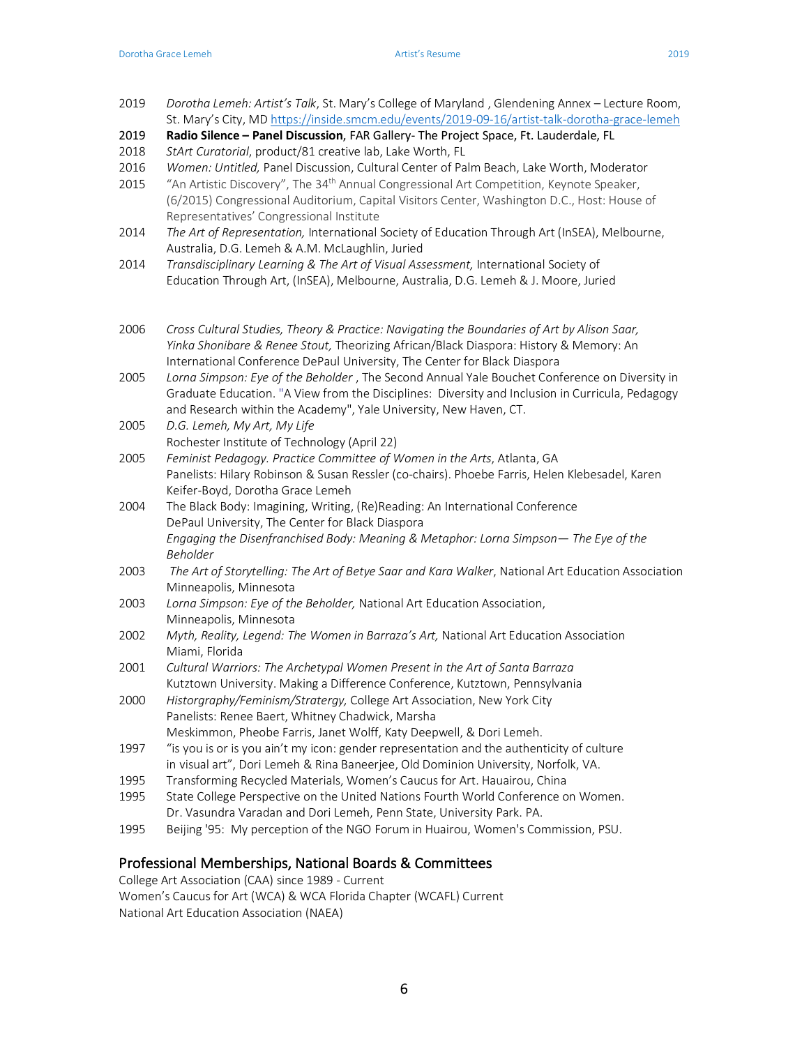- 2019 *Dorotha Lemeh: Artist's Talk*, St. Mary's College of Maryland , Glendening Annex Lecture Room, St. Mary's City, MD https://inside.smcm.edu/events/2019-09-16/artist-talk-dorotha-grace-lemeh
- 2019 **Radio Silence – Panel Discussion**, FAR Gallery- The Project Space, Ft. Lauderdale, FL
- 2018 *StArt Curatorial*, product/81 creative lab, Lake Worth, FL
- 2016 *Women: Untitled,* Panel Discussion, Cultural Center of Palm Beach, Lake Worth, Moderator
- 2015 "An Artistic Discovery", The 34<sup>th</sup> Annual Congressional Art Competition, Keynote Speaker, (6/2015) Congressional Auditorium, Capital Visitors Center, Washington D.C., Host: House of Representatives' Congressional Institute
- 2014 *The Art of Representation,* International Society of Education Through Art (InSEA), Melbourne, Australia, D.G. Lemeh & A.M. McLaughlin, Juried
- 2014 *Transdisciplinary Learning & The Art of Visual Assessment,* International Society of Education Through Art, (InSEA), Melbourne, Australia, D.G. Lemeh & J. Moore, Juried
- 2006 *Cross Cultural Studies, Theory & Practice: Navigating the Boundaries of Art by Alison Saar, Yinka Shonibare & Renee Stout,* Theorizing African/Black Diaspora: History & Memory: An International Conference DePaul University, The Center for Black Diaspora
- 2005 *Lorna Simpson: Eye of the Beholder* , The Second Annual Yale Bouchet Conference on Diversity in Graduate Education. "A View from the Disciplines: Diversity and Inclusion in Curricula, Pedagogy and Research within the Academy", Yale University, New Haven, CT.
- 2005 *D.G. Lemeh, My Art, My Life* Rochester Institute of Technology (April 22)
- 2005 *Feminist Pedagogy. Practice Committee of Women in the Arts*, Atlanta, GA Panelists: Hilary Robinson & Susan Ressler (co-chairs). Phoebe Farris, Helen Klebesadel, Karen Keifer-Boyd, Dorotha Grace Lemeh
- 2004 The Black Body: Imagining, Writing, (Re)Reading: An International Conference DePaul University, The Center for Black Diaspora *Engaging the Disenfranchised Body: Meaning & Metaphor: Lorna Simpson— The Eye of the Beholder*
- 2003 *The Art of Storytelling: The Art of Betye Saar and Kara Walker*, National Art Education Association Minneapolis, Minnesota
- 2003 *Lorna Simpson: Eye of the Beholder,* National Art Education Association, Minneapolis, Minnesota
- 2002 *Myth, Reality, Legend: The Women in Barraza's Art,* National Art Education Association Miami, Florida
- 2001 *Cultural Warriors: The Archetypal Women Present in the Art of Santa Barraza* Kutztown University. Making a Difference Conference, Kutztown, Pennsylvania
- 2000 *Historgraphy/Feminism/Stratergy,* College Art Association, New York City Panelists: Renee Baert, Whitney Chadwick, Marsha Meskimmon, Pheobe Farris, Janet Wolff, Katy Deepwell, & Dori Lemeh.
- 1997 "is you is or is you ain't my icon: gender representation and the authenticity of culture in visual art", Dori Lemeh & Rina Baneerjee, Old Dominion University, Norfolk, VA.
- 1995 Transforming Recycled Materials, Women's Caucus for Art. Hauairou, China
- 1995 State College Perspective on the United Nations Fourth World Conference on Women. Dr. Vasundra Varadan and Dori Lemeh, Penn State, University Park. PA.
- 1995 Beijing '95: My perception of the NGO Forum in Huairou, Women's Commission, PSU.

#### Professional Memberships, National Boards & Committees

College Art Association (CAA) since 1989 - Current Women's Caucus for Art (WCA) & WCA Florida Chapter (WCAFL) Current National Art Education Association (NAEA)